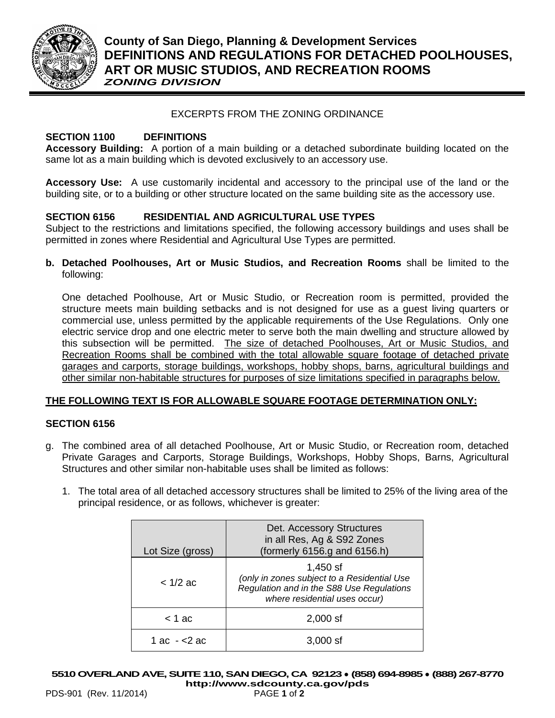

# **County of San Diego, Planning & Development Services DEFINITIONS AND REGULATIONS FOR DETACHED POOLHOUSES, ART OR MUSIC STUDIOS, AND RECREATION ROOMS** *ZONING DIVISION*

#### EXCERPTS FROM THE ZONING ORDINANCE

#### **SECTION 1100 DEFINITIONS**

**Accessory Building:** A portion of a main building or a detached subordinate building located on the same lot as a main building which is devoted exclusively to an accessory use.

**Accessory Use:** A use customarily incidental and accessory to the principal use of the land or the building site, or to a building or other structure located on the same building site as the accessory use.

## **SECTION 6156 RESIDENTIAL AND AGRICULTURAL USE TYPES**

Subject to the restrictions and limitations specified, the following accessory buildings and uses shall be permitted in zones where Residential and Agricultural Use Types are permitted.

**b. Detached Poolhouses, Art or Music Studios, and Recreation Rooms** shall be limited to the following:

One detached Poolhouse, Art or Music Studio, or Recreation room is permitted, provided the structure meets main building setbacks and is not designed for use as a guest living quarters or commercial use, unless permitted by the applicable requirements of the Use Regulations. Only one electric service drop and one electric meter to serve both the main dwelling and structure allowed by this subsection will be permitted. The size of detached Poolhouses, Art or Music Studios, and Recreation Rooms shall be combined with the total allowable square footage of detached private garages and carports, storage buildings, workshops, hobby shops, barns, agricultural buildings and other similar non-habitable structures for purposes of size limitations specified in paragraphs below.

## **THE FOLLOWING TEXT IS FOR ALLOWABLE SQUARE FOOTAGE DETERMINATION ONLY:**

#### **SECTION 6156**

- g. The combined area of all detached Poolhouse, Art or Music Studio, or Recreation room, detached Private Garages and Carports, Storage Buildings, Workshops, Hobby Shops, Barns, Agricultural Structures and other similar non-habitable uses shall be limited as follows:
	- 1. The total area of all detached accessory structures shall be limited to 25% of the living area of the principal residence, or as follows, whichever is greater:

| Lot Size (gross) | Det. Accessory Structures<br>in all Res, Ag & S92 Zones<br>(formerly 6156.g and 6156.h)                                                 |
|------------------|-----------------------------------------------------------------------------------------------------------------------------------------|
| $< 1/2$ ac       | $1,450$ sf<br>(only in zones subject to a Residential Use<br>Regulation and in the S88 Use Regulations<br>where residential uses occur) |
| $<$ 1 ac         | $2,000$ sf                                                                                                                              |
| 1 ac - <2 ac     | $3,000$ sf                                                                                                                              |